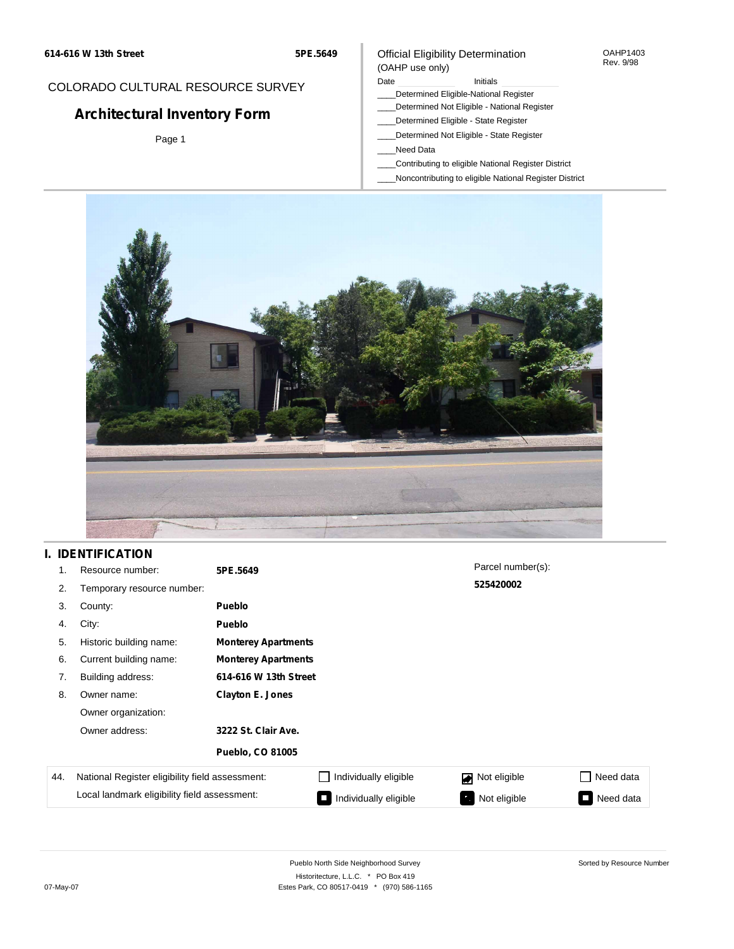**5PE.5649**

## COLORADO CULTURAL RESOURCE SURVEY

# **Architectural Inventory Form**

Page 1

### Official Eligibility Determination (OAHP use only)

#### Date **Initials** Initials

- \_\_\_\_Determined Eligible-National Register
- \_\_\_\_Determined Not Eligible National Register
- \_\_\_\_Determined Eligible State Register
- \_\_\_\_Determined Not Eligible State Register
- \_\_\_\_Need Data
- \_\_\_\_Contributing to eligible National Register District
- \_\_\_\_Noncontributing to eligible National Register District



### **I. IDENTIFICATION**

| 1.  | Resource number:                                | 5PE.5649                |                            | Parcel number(s): |                     |  |  |  |
|-----|-------------------------------------------------|-------------------------|----------------------------|-------------------|---------------------|--|--|--|
| 2.  | Temporary resource number:                      |                         |                            | 525420002         |                     |  |  |  |
| 3.  | County:                                         | <b>Pueblo</b>           |                            |                   |                     |  |  |  |
| 4.  | City:                                           | <b>Pueblo</b>           |                            |                   |                     |  |  |  |
| 5.  | Historic building name:                         |                         | <b>Monterey Apartments</b> |                   |                     |  |  |  |
| 6.  | Current building name:                          |                         | <b>Monterey Apartments</b> |                   |                     |  |  |  |
| 7.  | Building address:                               | 614-616 W 13th Street   |                            |                   |                     |  |  |  |
| 8.  | Owner name:                                     | <b>Clayton E. Jones</b> |                            |                   |                     |  |  |  |
|     | Owner organization:                             |                         |                            |                   |                     |  |  |  |
|     | Owner address:                                  | 3222 St. Clair Ave.     |                            |                   |                     |  |  |  |
|     |                                                 | <b>Pueblo, CO 81005</b> |                            |                   |                     |  |  |  |
| 44. | National Register eligibility field assessment: |                         | Individually eligible      | Not eligible      | Need data           |  |  |  |
|     | Local landmark eligibility field assessment:    |                         | Individually eligible      | Not eligible      | Need data<br>$\sim$ |  |  |  |

OAHP1403 Rev. 9/98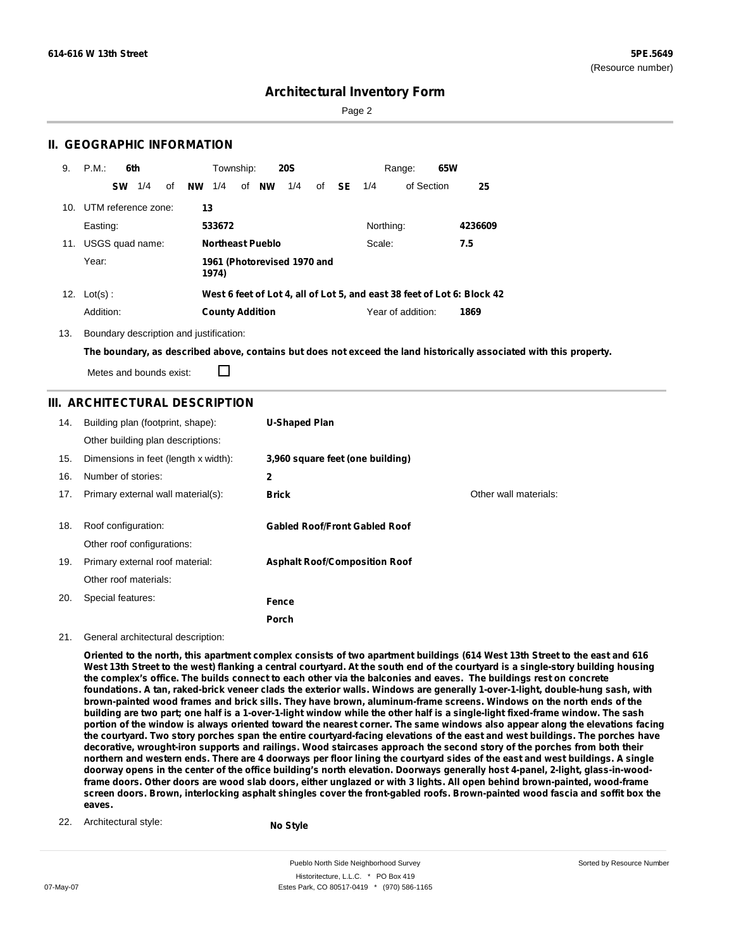Sorted by Resource Number

### **Architectural Inventory Form**

Page 2

### **II. GEOGRAPHIC INFORMATION**

| 9.  | P.M.                | 6th       |     |    |           | Township:              |                         | <b>20S</b>                  |       |           | Range:            | 65W                                                                     |
|-----|---------------------|-----------|-----|----|-----------|------------------------|-------------------------|-----------------------------|-------|-----------|-------------------|-------------------------------------------------------------------------|
|     |                     | <b>SW</b> | 1/4 | οf | <b>NW</b> | 1/4                    | of <b>NW</b>            | 1/4                         | of SE | 1/4       | of Section        | 25                                                                      |
| 10. | UTM reference zone: |           |     |    | 13        |                        |                         |                             |       |           |                   |                                                                         |
|     | Easting:            |           |     |    |           | 533672                 |                         |                             |       | Northing: |                   | 4236609                                                                 |
| 11. | USGS quad name:     |           |     |    |           |                        | <b>Northeast Pueblo</b> |                             |       | Scale:    |                   | 7.5                                                                     |
|     | Year:               |           |     |    |           | 1974)                  |                         | 1961 (Photorevised 1970 and |       |           |                   |                                                                         |
| 12. | $Lot(s)$ :          |           |     |    |           |                        |                         |                             |       |           |                   | West 6 feet of Lot 4, all of Lot 5, and east 38 feet of Lot 6: Block 42 |
|     | Addition:           |           |     |    |           | <b>County Addition</b> |                         |                             |       |           | Year of addition: | 1869                                                                    |

13. Boundary description and justification:

The boundary, as described above, contains but does not exceed the land historically associated with this property.

Metes and bounds exist:

П

### **III. ARCHITECTURAL DESCRIPTION**

| 14. | Building plan (footprint, shape):<br>Other building plan descriptions: | <b>U-Shaped Plan</b>                 |                       |
|-----|------------------------------------------------------------------------|--------------------------------------|-----------------------|
| 15. | Dimensions in feet (length x width):                                   | 3,960 square feet (one building)     |                       |
| 16. | Number of stories:                                                     | 2                                    |                       |
| 17. | Primary external wall material(s):                                     | <b>Brick</b>                         | Other wall materials: |
| 18. | Roof configuration:<br>Other roof configurations:                      | <b>Gabled Roof/Front Gabled Roof</b> |                       |
| 19. | Primary external roof material:                                        | <b>Asphalt Roof/Composition Roof</b> |                       |
|     | Other roof materials:                                                  |                                      |                       |
| 20. | Special features:                                                      | Fence                                |                       |
|     |                                                                        | <b>Porch</b>                         |                       |

#### 21. General architectural description:

Oriented to the north, this apartment complex consists of two apartment buildings (614 West 13th Street to the east and 616 West 13th Street to the west) flanking a central courtyard. At the south end of the courtyard is a single-story building housing the complex's office. The builds connect to each other via the balconies and eaves. The buildings rest on concrete foundations. A tan, raked-brick veneer clads the exterior walls. Windows are generally 1-over-1-light, double-hung sash, with brown-painted wood frames and brick sills. They have brown, aluminum-frame screens. Windows on the north ends of the building are two part; one half is a 1-over-1-light window while the other half is a single-light fixed-frame window. The sash portion of the window is always oriented toward the nearest corner. The same windows also appear along the elevations facing the courtyard. Two story porches span the entire courtyard-facing elevations of the east and west buildings. The porches have decorative, wrought-iron supports and railings. Wood staircases approach the second story of the porches from both their northern and western ends. There are 4 doorways per floor lining the courtyard sides of the east and west buildings. A single doorway opens in the center of the office building's north elevation. Doorways generally host 4-panel, 2-light, glass-in-woodframe doors. Other doors are wood slab doors, either unglazed or with 3 lights. All open behind brown-painted, wood-frame screen doors. Brown, interlocking asphalt shingles cover the front-gabled roofs. Brown-painted wood fascia and soffit box the **eaves.**

22. Architectural style:

**No Style**

Pueblo North Side Neighborhood Survey Historitecture, L.L.C. \* PO Box 419 07-May-07 **Estes Park, CO 80517-0419** \* (970) 586-1165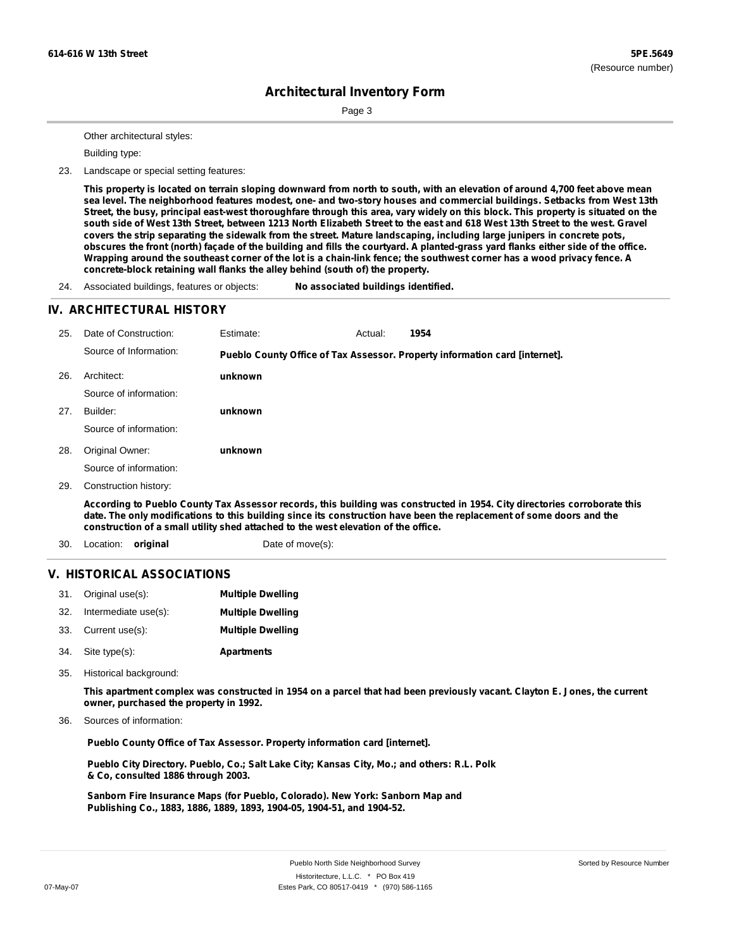Page 3

Other architectural styles:

Building type:

23. Landscape or special setting features:

This property is located on terrain sloping downward from north to south, with an elevation of around 4,700 feet above mean sea level. The neighborhood features modest, one- and two-story houses and commercial buildings. Setbacks from West 13th Street, the busy, principal east-west thoroughfare through this area, vary widely on this block. This property is situated on the south side of West 13th Street, between 1213 North Elizabeth Street to the east and 618 West 13th Street to the west. Gravel covers the strip separating the sidewalk from the street. Mature landscaping, including large junipers in concrete pots, obscures the front (north) façade of the building and fills the courtyard. A planted-grass yard flanks either side of the office. Wrapping around the southeast corner of the lot is a chain-link fence; the southwest corner has a wood privacy fence. A **concrete-block retaining wall flanks the alley behind (south of) the property.**

24. Associated buildings, features or objects: **No associated buildings identified.**

#### **IV. ARCHITECTURAL HISTORY**

| 25. | Date of Construction:                                                                                                                                                                                                                                                                                                                   | Estimate:        | Actual: | 1954                                                                        |
|-----|-----------------------------------------------------------------------------------------------------------------------------------------------------------------------------------------------------------------------------------------------------------------------------------------------------------------------------------------|------------------|---------|-----------------------------------------------------------------------------|
|     | Source of Information:                                                                                                                                                                                                                                                                                                                  |                  |         | Pueblo County Office of Tax Assessor. Property information card [internet]. |
| 26. | Architect:                                                                                                                                                                                                                                                                                                                              | unknown          |         |                                                                             |
|     | Source of information:                                                                                                                                                                                                                                                                                                                  |                  |         |                                                                             |
| 27. | Builder:                                                                                                                                                                                                                                                                                                                                | unknown          |         |                                                                             |
|     | Source of information:                                                                                                                                                                                                                                                                                                                  |                  |         |                                                                             |
| 28. | Original Owner:                                                                                                                                                                                                                                                                                                                         | unknown          |         |                                                                             |
|     | Source of information:                                                                                                                                                                                                                                                                                                                  |                  |         |                                                                             |
| 29. | Construction history:                                                                                                                                                                                                                                                                                                                   |                  |         |                                                                             |
|     | According to Pueblo County Tax Assessor records, this building was constructed in 1954. City directories corroborate this<br>date. The only modifications to this building since its construction have been the replacement of some doors and the<br>construction of a small utility shed attached to the west elevation of the office. |                  |         |                                                                             |
| 30. | Location:<br>original                                                                                                                                                                                                                                                                                                                   | Date of move(s): |         |                                                                             |

#### **V. HISTORICAL ASSOCIATIONS**

| 31.  | Original use(s):     | <b>Multiple Dwelling</b> |
|------|----------------------|--------------------------|
| -32. | Intermediate use(s): | <b>Multiple Dwelling</b> |
| 33.  | Current use(s):      | <b>Multiple Dwelling</b> |

- **Apartments** Site type(s): 34.
- Historical background: 35.

This apartment complex was constructed in 1954 on a parcel that had been previously vacant. Clayton E. Jones, the current **owner, purchased the property in 1992.**

Sources of information: 36.

**Pueblo County Office of Tax Assessor. Property information card [internet].**

**Pueblo City Directory. Pueblo, Co.; Salt Lake City; Kansas City, Mo.; and others: R.L. Polk & Co, consulted 1886 through 2003.**

**Sanborn Fire Insurance Maps (for Pueblo, Colorado). New York: Sanborn Map and Publishing Co., 1883, 1886, 1889, 1893, 1904-05, 1904-51, and 1904-52.**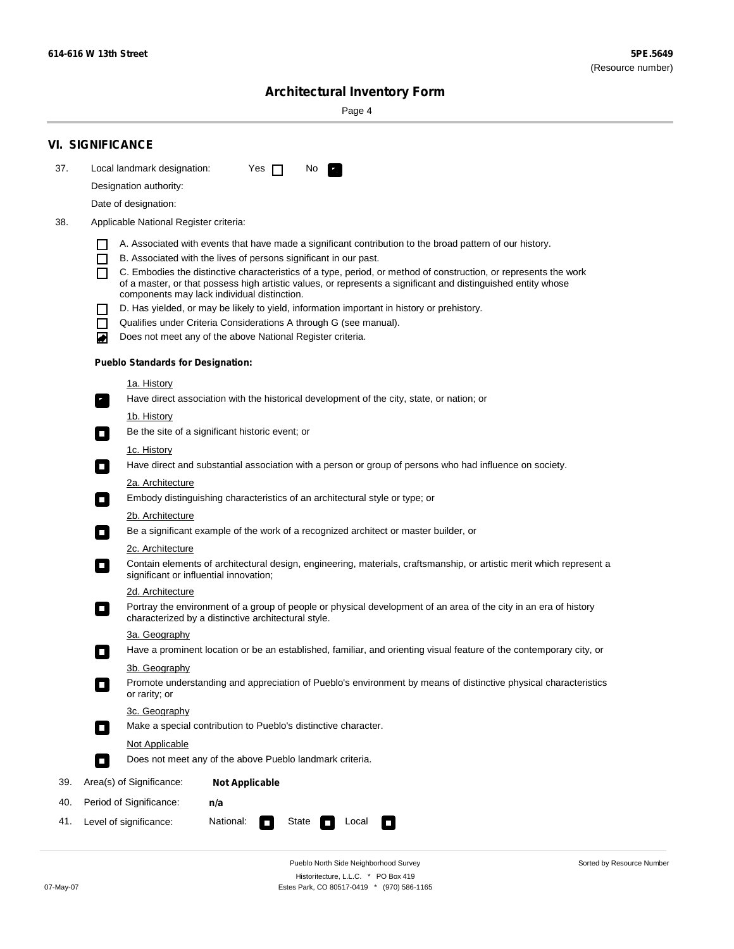۰

Sorted by Resource Number

# **Architectural Inventory Form**

Page 4

|                        | <b>VI. SIGNIFICANCE</b>                                                                                                              |                                                                                                                                                                              |  |  |  |  |  |  |
|------------------------|--------------------------------------------------------------------------------------------------------------------------------------|------------------------------------------------------------------------------------------------------------------------------------------------------------------------------|--|--|--|--|--|--|
| 37.                    | Local landmark designation:                                                                                                          | Yes $\Box$<br>No.<br>$\mathbf{r}_1$                                                                                                                                          |  |  |  |  |  |  |
| Designation authority: |                                                                                                                                      |                                                                                                                                                                              |  |  |  |  |  |  |
|                        | Date of designation:                                                                                                                 |                                                                                                                                                                              |  |  |  |  |  |  |
| 38.                    | Applicable National Register criteria:                                                                                               |                                                                                                                                                                              |  |  |  |  |  |  |
|                        |                                                                                                                                      |                                                                                                                                                                              |  |  |  |  |  |  |
|                        | H<br>$\Box$                                                                                                                          | A. Associated with events that have made a significant contribution to the broad pattern of our history.<br>B. Associated with the lives of persons significant in our past. |  |  |  |  |  |  |
|                        | П                                                                                                                                    | C. Embodies the distinctive characteristics of a type, period, or method of construction, or represents the work                                                             |  |  |  |  |  |  |
|                        |                                                                                                                                      | of a master, or that possess high artistic values, or represents a significant and distinguished entity whose                                                                |  |  |  |  |  |  |
|                        |                                                                                                                                      | components may lack individual distinction.<br>D. Has yielded, or may be likely to yield, information important in history or prehistory.                                    |  |  |  |  |  |  |
|                        | $\blacksquare$                                                                                                                       | Qualifies under Criteria Considerations A through G (see manual).                                                                                                            |  |  |  |  |  |  |
|                        | O                                                                                                                                    | Does not meet any of the above National Register criteria.                                                                                                                   |  |  |  |  |  |  |
|                        | <b>Pueblo Standards for Designation:</b>                                                                                             |                                                                                                                                                                              |  |  |  |  |  |  |
|                        | 1a. History                                                                                                                          |                                                                                                                                                                              |  |  |  |  |  |  |
|                        | $\overline{\phantom{a}}$ .                                                                                                           | Have direct association with the historical development of the city, state, or nation; or                                                                                    |  |  |  |  |  |  |
|                        | <u>1b. History</u>                                                                                                                   |                                                                                                                                                                              |  |  |  |  |  |  |
|                        | $\Box$                                                                                                                               | Be the site of a significant historic event; or                                                                                                                              |  |  |  |  |  |  |
|                        | 1c. History                                                                                                                          |                                                                                                                                                                              |  |  |  |  |  |  |
|                        | $\Box$                                                                                                                               | Have direct and substantial association with a person or group of persons who had influence on society.                                                                      |  |  |  |  |  |  |
|                        | 2a. Architecture                                                                                                                     |                                                                                                                                                                              |  |  |  |  |  |  |
|                        | $\Box$                                                                                                                               | Embody distinguishing characteristics of an architectural style or type; or                                                                                                  |  |  |  |  |  |  |
|                        | 2b. Architecture<br>Be a significant example of the work of a recognized architect or master builder, or<br>$\overline{\phantom{a}}$ |                                                                                                                                                                              |  |  |  |  |  |  |
|                        |                                                                                                                                      |                                                                                                                                                                              |  |  |  |  |  |  |
|                        | 2c. Architecture<br>$\Box$                                                                                                           | Contain elements of architectural design, engineering, materials, craftsmanship, or artistic merit which represent a<br>significant or influential innovation;               |  |  |  |  |  |  |
|                        | 2d. Architecture                                                                                                                     |                                                                                                                                                                              |  |  |  |  |  |  |
|                        | $\overline{\phantom{a}}$                                                                                                             | Portray the environment of a group of people or physical development of an area of the city in an era of history<br>characterized by a distinctive architectural style.      |  |  |  |  |  |  |
|                        | 3a. Geography                                                                                                                        |                                                                                                                                                                              |  |  |  |  |  |  |
|                        |                                                                                                                                      | Have a prominent location or be an established, familiar, and orienting visual feature of the contemporary city, or                                                          |  |  |  |  |  |  |
|                        | 3b. Geography                                                                                                                        |                                                                                                                                                                              |  |  |  |  |  |  |
|                        | or rarity; or                                                                                                                        | Promote understanding and appreciation of Pueblo's environment by means of distinctive physical characteristics                                                              |  |  |  |  |  |  |
|                        |                                                                                                                                      | 3c. Geography                                                                                                                                                                |  |  |  |  |  |  |
|                        | $\Box$                                                                                                                               | Make a special contribution to Pueblo's distinctive character.                                                                                                               |  |  |  |  |  |  |
|                        | Not Applicable                                                                                                                       |                                                                                                                                                                              |  |  |  |  |  |  |
|                        | $\Box$                                                                                                                               | Does not meet any of the above Pueblo landmark criteria.                                                                                                                     |  |  |  |  |  |  |
| 39.                    | Area(s) of Significance:                                                                                                             | <b>Not Applicable</b>                                                                                                                                                        |  |  |  |  |  |  |
| 40.                    | Period of Significance:                                                                                                              | n/a                                                                                                                                                                          |  |  |  |  |  |  |
| 41.                    | National:<br>Level of significance:<br>State<br>Local<br>$\overline{\phantom{a}}$<br>$\Box$                                          |                                                                                                                                                                              |  |  |  |  |  |  |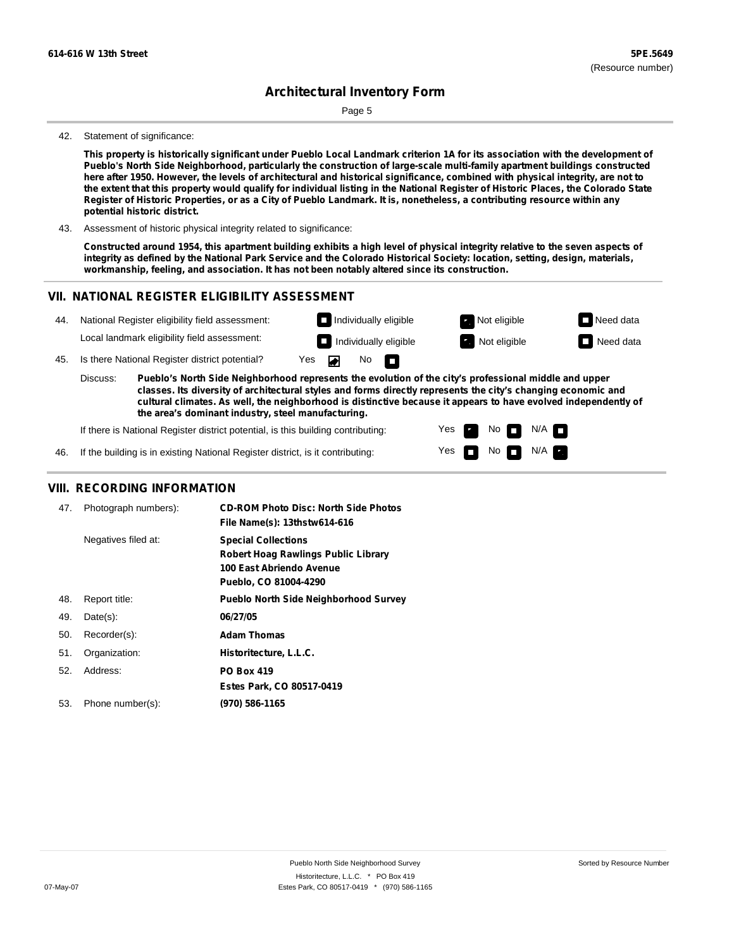Page 5

#### 42. Statement of significance:

This property is historically significant under Pueblo Local Landmark criterion 1A for its association with the development of **Pueblo's North Side Neighborhood, particularly the construction of large-scale multi-family apartment buildings constructed** here after 1950. However, the levels of architectural and historical significance, combined with physical integrity, are not to the extent that this property would qualify for individual listing in the National Register of Historic Places, the Colorado State Register of Historic Properties, or as a City of Pueblo Landmark. It is, nonetheless, a contributing resource within any **potential historic district.**

43. Assessment of historic physical integrity related to significance:

Constructed around 1954, this apartment building exhibits a high level of physical integrity relative to the seven aspects of integrity as defined by the National Park Service and the Colorado Historical Society: location, setting, design, materials, **workmanship, feeling, and association. It has not been notably altered since its construction.**

#### **VII. NATIONAL REGISTER ELIGIBILITY ASSESSMENT**



Yes Yes No

No  $\blacksquare$  N/A

 $N/A$ 

If there is National Register district potential, is this building contributing:

If the building is in existing National Register district, is it contributing: 46.

#### **VIII. RECORDING INFORMATION**

| 47. | Photograph numbers): | <b>CD-ROM Photo Disc: North Side Photos</b><br>File Name(s): 13thstw614-616                                                   |
|-----|----------------------|-------------------------------------------------------------------------------------------------------------------------------|
|     | Negatives filed at:  | <b>Special Collections</b><br><b>Robert Hoag Rawlings Public Library</b><br>100 East Abriendo Avenue<br>Pueblo, CO 81004-4290 |
| 48. | Report title:        | <b>Pueblo North Side Neighborhood Survey</b>                                                                                  |
| 49. | $Date(s)$ :          | 06/27/05                                                                                                                      |
| 50. | Recorder(s):         | <b>Adam Thomas</b>                                                                                                            |
| 51. | Organization:        | Historitecture, L.L.C.                                                                                                        |
| 52. | Address:             | <b>PO Box 419</b>                                                                                                             |
|     |                      | Estes Park, CO 80517-0419                                                                                                     |
| 53. | Phone number(s):     | (970) 586-1165                                                                                                                |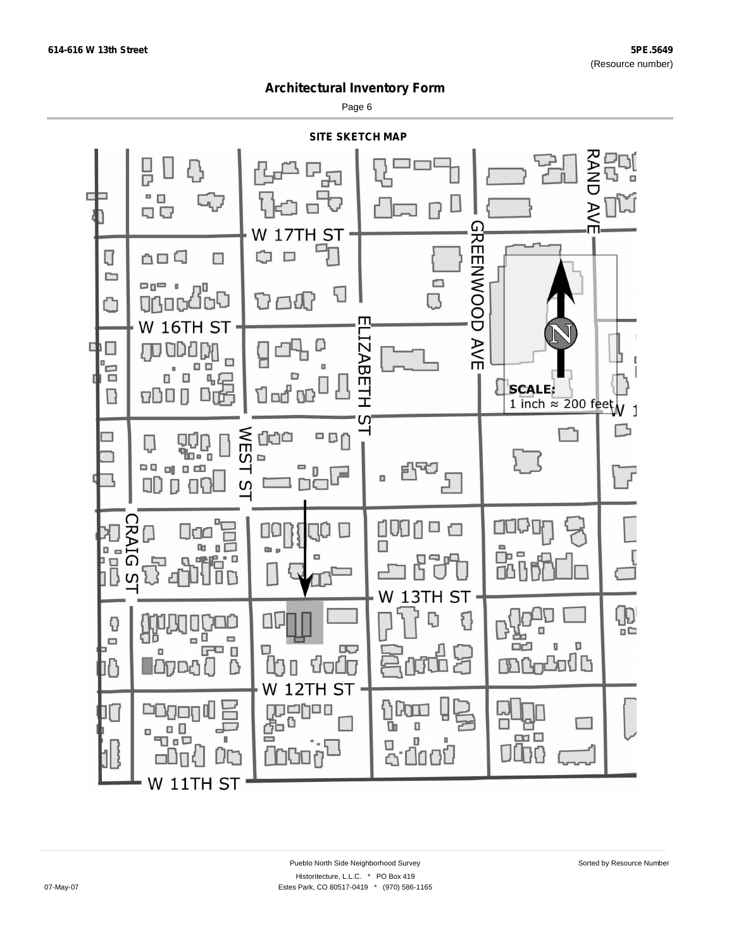Page 6